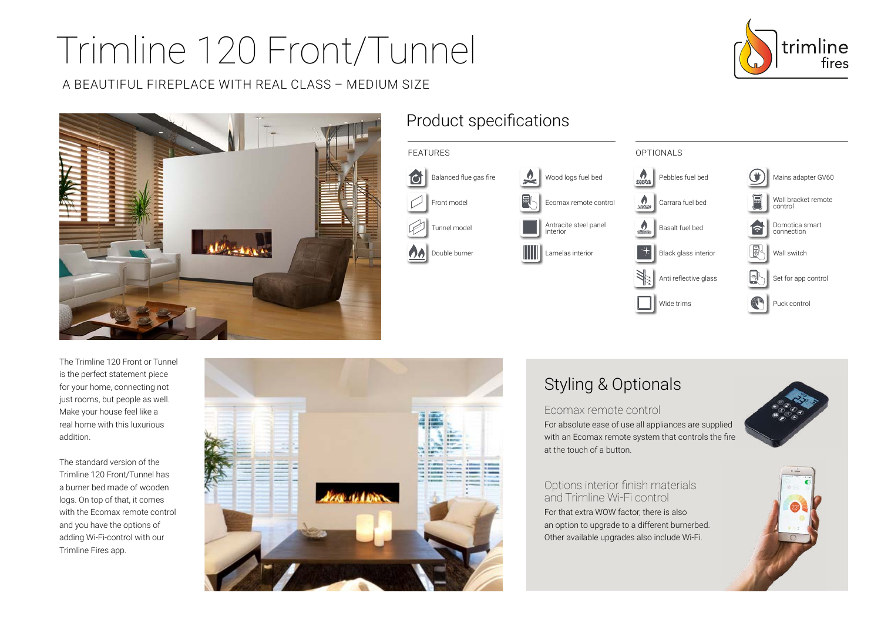# Trimline 120 Front/Tunnel

A BEAUTIFUL FIREPLACE WITH REAL CLASS – MEDIUM SIZE



## Product specifications



The Trimline 120 Front or Tunnel is the perfect statement piece for your home, connecting not just rooms, but people as well. Make your house feel like a real home with this luxurious addition.

The standard version of the Trimline 120 Front/Tunnel has a burner bed made of wooden logs. On top of that, it comes with the Ecomax remote control and you have the options of adding Wi-Fi-control with our Trimline Fires app.



## Styling & Optionals

Ecomax remote control

For absolute ease of use all appliances are supplied with an Ecomax remote system that controls the fire at the touch of a button.

Options interior finish materials and Trimline Wi-Fi control For that extra WOW factor, there is also an option to upgrade to a different burnerbed. Other available upgrades also include Wi-Fi.